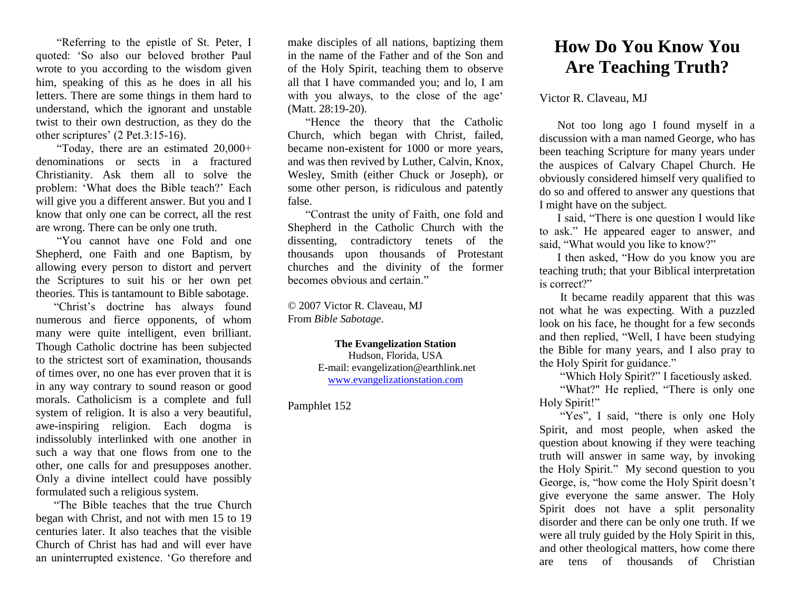"Referring to the epistle of St. Peter, I quoted: 'So also our beloved brother Paul wrote to you according to the wisdom given him, speaking of this as he does in all his letters. There are some things in them hard to understand, which the ignorant and unstable twist to their own destruction, as they do the other scriptures' (2 Pet.3:15-16).

"Today, there are an estimated 20,000+ denominations or sects in a fractured Christianity. Ask them all to solve the problem: 'What does the Bible teach?' Each will give you a different answer. But you and I know that only one can be correct, all the rest are wrong. There can be only one truth.

"You cannot have one Fold and one Shepherd, one Faith and one Baptism, by allowing every person to distort and pervert the Scriptures to suit his or her own pet theories. This is tantamount to Bible sabotage.

"Christ's doctrine has always found numerous and fierce opponents, of whom many were quite intelligent, even brilliant. Though Catholic doctrine has been subjected to the strictest sort of examination, thousands of times over, no one has ever proven that it is in any way contrary to sound reason or good morals. Catholicism is a complete and full system of religion. It is also a very beautiful, awe-inspiring religion. Each dogma is indissolubly interlinked with one another in such a way that one flows from one to the other, one calls for and presupposes another. Only a divine intellect could have possibly formulated such a religious system.

"The Bible teaches that the true Church began with Christ, and not with men 15 to 19 centuries later. It also teaches that the visible Church of Christ has had and will ever have an uninterrupted existence. 'Go therefore and make disciples of all nations, baptizing them in the name of the Father and of the Son and of the Holy Spirit, teaching them to observe all that I have commanded you; and lo, I am with you always, to the close of the age' (Matt. 28:19-20).

"Hence the theory that the Catholic Church, which began with Christ, failed, became non-existent for 1000 or more years, and was then revived by Luther, Calvin, Knox, Wesley, Smith (either Chuck or Joseph), or some other person, is ridiculous and patently false.

"Contrast the unity of Faith, one fold and Shepherd in the Catholic Church with the dissenting, contradictory tenets of the thousands upon thousands of Protestant churches and the divinity of the former becomes obvious and certain."

© 2007 Victor R. Claveau, MJ From *Bible Sabotage*.

> **The Evangelization Station** Hudson, Florida, USA E-mail: evangelization@earthlink.net [www.evangelizationstation.com](http://www.pjpiisoe.org/)

Pamphlet 152

## **How Do You Know You Are Teaching Truth?**

Victor R. Claveau, MJ

Not too long ago I found myself in a discussion with a man named George, who has been teaching Scripture for many years under the auspices of Calvary Chapel Church. He obviously considered himself very qualified to do so and offered to answer any questions that I might have on the subject.

I said, "There is one question I would like to ask." He appeared eager to answer, and said, "What would you like to know?"

I then asked, "How do you know you are teaching truth; that your Biblical interpretation is correct?"

It became readily apparent that this was not what he was expecting. With a puzzled look on his face, he thought for a few seconds and then replied, "Well, I have been studying the Bible for many years, and I also pray to the Holy Spirit for guidance."

"Which Holy Spirit?" I facetiously asked.

"What?" He replied, "There is only one Holy Spirit!"

"Yes", I said, "there is only one Holy Spirit, and most people, when asked the question about knowing if they were teaching truth will answer in same way, by invoking the Holy Spirit." My second question to you George, is, "how come the Holy Spirit doesn't give everyone the same answer. The Holy Spirit does not have a split personality disorder and there can be only one truth. If we were all truly guided by the Holy Spirit in this, and other theological matters, how come there are tens of thousands of Christian